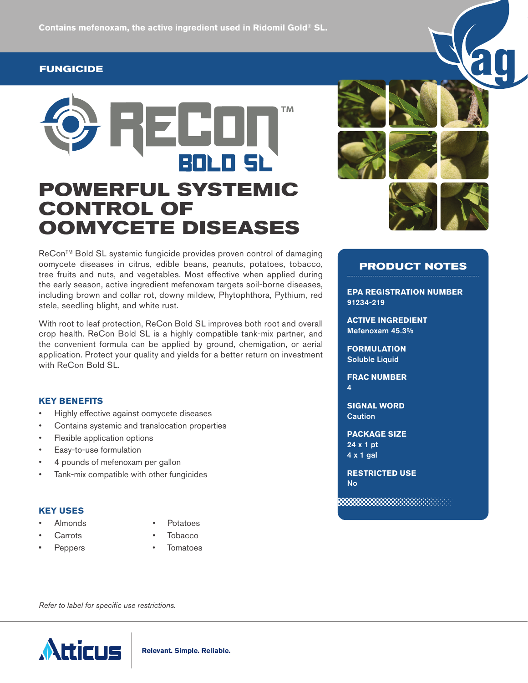# **FUNGICIDE**



ReCon™ Bold SL systemic fungicide provides proven control of damaging oomycete diseases in citrus, edible beans, peanuts, potatoes, tobacco, tree fruits and nuts, and vegetables. Most effective when applied during the early season, active ingredient mefenoxam targets soil-borne diseases, including brown and collar rot, downy mildew, Phytophthora, Pythium, red stele, seedling blight, and white rust.

With root to leaf protection, ReCon Bold SL improves both root and overall crop health. ReCon Bold SL is a highly compatible tank-mix partner, and the convenient formula can be applied by ground, chemigation, or aerial application. Protect your quality and yields for a better return on investment with ReCon Bold SL.

## **KEY BENEFITS**

- Highly effective against oomycete diseases
- Contains systemic and translocation properties
- Flexible application options
- Easy-to-use formulation
- 4 pounds of mefenoxam per gallon
- Tank-mix compatible with other fungicides

#### **KEY USES**

- 
- Almonds Potatoes
- 
- Carrots Tobacco
- 
- Peppers Tomatoes

*Refer to label for specific use restrictions.*





# **PRODUCT NOTES**

**EPA REGISTRATION NUMBER**  91234-219

**ACTIVE INGREDIENT**  Mefenoxam 45.3%

**FORMULATION**  Soluble Liquid

**FRAC NUMBER**  4

**SIGNAL WORD Caution** 

**PACKAGE SIZE**  24 x 1 pt 4 x 1 gal

**RESTRICTED USE** No

88888888888888888

**Relevant. Simple. Reliable.**